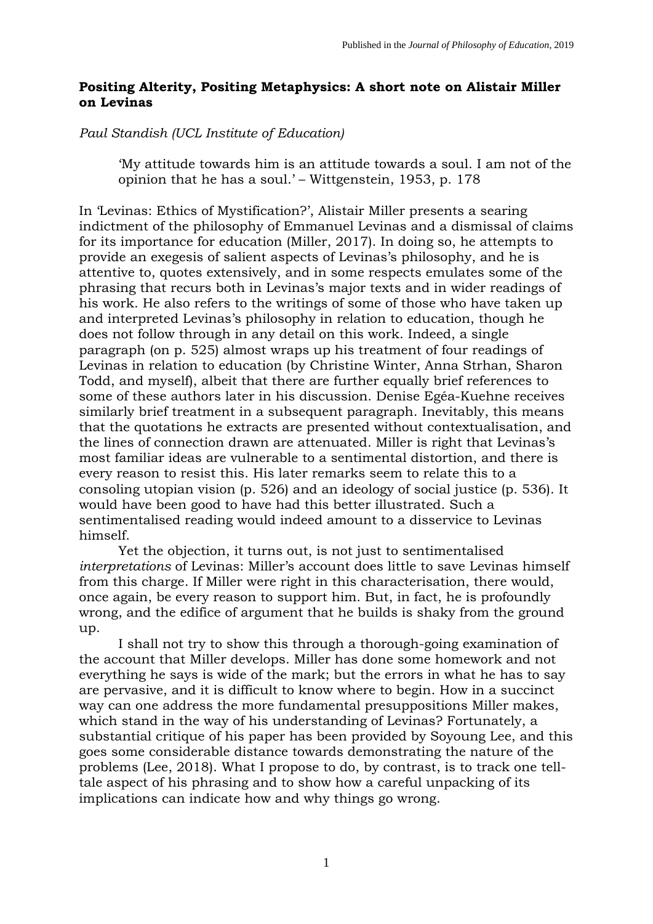## **Positing Alterity, Positing Metaphysics: A short note on Alistair Miller on Levinas**

*Paul Standish (UCL Institute of Education)*

'My attitude towards him is an attitude towards a soul. I am not of the opinion that he has a soul.' – Wittgenstein, 1953, p. 178

In 'Levinas: Ethics of Mystification?', Alistair Miller presents a searing indictment of the philosophy of Emmanuel Levinas and a dismissal of claims for its importance for education (Miller, 2017). In doing so, he attempts to provide an exegesis of salient aspects of Levinas's philosophy, and he is attentive to, quotes extensively, and in some respects emulates some of the phrasing that recurs both in Levinas's major texts and in wider readings of his work. He also refers to the writings of some of those who have taken up and interpreted Levinas's philosophy in relation to education, though he does not follow through in any detail on this work. Indeed, a single paragraph (on p. 525) almost wraps up his treatment of four readings of Levinas in relation to education (by Christine Winter, Anna Strhan, Sharon Todd, and myself), albeit that there are further equally brief references to some of these authors later in his discussion. Denise Egéa-Kuehne receives similarly brief treatment in a subsequent paragraph. Inevitably, this means that the quotations he extracts are presented without contextualisation, and the lines of connection drawn are attenuated. Miller is right that Levinas's most familiar ideas are vulnerable to a sentimental distortion, and there is every reason to resist this. His later remarks seem to relate this to a consoling utopian vision (p. 526) and an ideology of social justice (p. 536). It would have been good to have had this better illustrated. Such a sentimentalised reading would indeed amount to a disservice to Levinas himself.

Yet the objection, it turns out, is not just to sentimentalised *interpretations* of Levinas: Miller's account does little to save Levinas himself from this charge. If Miller were right in this characterisation, there would, once again, be every reason to support him. But, in fact, he is profoundly wrong, and the edifice of argument that he builds is shaky from the ground up.

I shall not try to show this through a thorough-going examination of the account that Miller develops. Miller has done some homework and not everything he says is wide of the mark; but the errors in what he has to say are pervasive, and it is difficult to know where to begin. How in a succinct way can one address the more fundamental presuppositions Miller makes, which stand in the way of his understanding of Levinas? Fortunately, a substantial critique of his paper has been provided by Soyoung Lee, and this goes some considerable distance towards demonstrating the nature of the problems (Lee, 2018). What I propose to do, by contrast, is to track one telltale aspect of his phrasing and to show how a careful unpacking of its implications can indicate how and why things go wrong.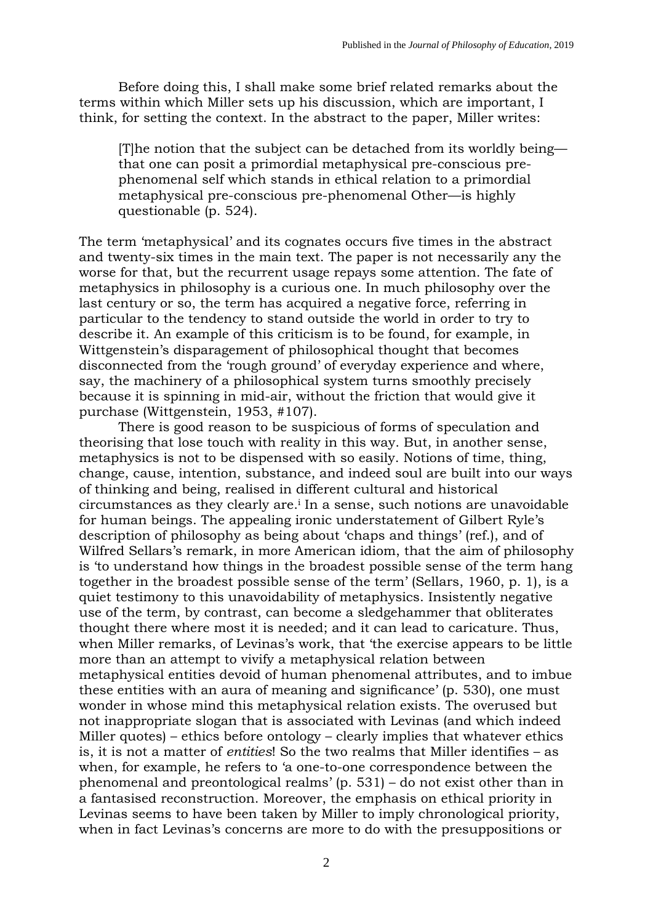Before doing this, I shall make some brief related remarks about the terms within which Miller sets up his discussion, which are important, I think, for setting the context. In the abstract to the paper, Miller writes:

[T]he notion that the subject can be detached from its worldly being that one can posit a primordial metaphysical pre-conscious prephenomenal self which stands in ethical relation to a primordial metaphysical pre-conscious pre-phenomenal Other—is highly questionable (p. 524).

The term 'metaphysical' and its cognates occurs five times in the abstract and twenty-six times in the main text. The paper is not necessarily any the worse for that, but the recurrent usage repays some attention. The fate of metaphysics in philosophy is a curious one. In much philosophy over the last century or so, the term has acquired a negative force, referring in particular to the tendency to stand outside the world in order to try to describe it. An example of this criticism is to be found, for example, in Wittgenstein's disparagement of philosophical thought that becomes disconnected from the 'rough ground' of everyday experience and where, say, the machinery of a philosophical system turns smoothly precisely because it is spinning in mid-air, without the friction that would give it purchase (Wittgenstein, 1953, #107).

There is good reason to be suspicious of forms of speculation and theorising that lose touch with reality in this way. But, in another sense, metaphysics is not to be dispensed with so easily. Notions of time, thing, change, cause, intention, substance, and indeed soul are built into our ways of thinking and being, realised in different cultural and historical circumstances as they clearly are. <sup>i</sup> In a sense, such notions are unavoidable for human beings. The appealing ironic understatement of Gilbert Ryle's description of philosophy as being about 'chaps and things' (ref.), and of Wilfred Sellars's remark, in more American idiom, that the aim of philosophy is 'to understand how things in the broadest possible sense of the term hang together in the broadest possible sense of the term' (Sellars, 1960, p. 1), is a quiet testimony to this unavoidability of metaphysics. Insistently negative use of the term, by contrast, can become a sledgehammer that obliterates thought there where most it is needed; and it can lead to caricature. Thus, when Miller remarks, of Levinas's work, that 'the exercise appears to be little more than an attempt to vivify a metaphysical relation between metaphysical entities devoid of human phenomenal attributes, and to imbue these entities with an aura of meaning and significance' (p. 530), one must wonder in whose mind this metaphysical relation exists. The overused but not inappropriate slogan that is associated with Levinas (and which indeed Miller quotes) – ethics before ontology – clearly implies that whatever ethics is, it is not a matter of *entities*! So the two realms that Miller identifies – as when, for example, he refers to 'a one-to-one correspondence between the phenomenal and preontological realms' (p. 531) – do not exist other than in a fantasised reconstruction. Moreover, the emphasis on ethical priority in Levinas seems to have been taken by Miller to imply chronological priority, when in fact Levinas's concerns are more to do with the presuppositions or

 $\mathfrak{D}$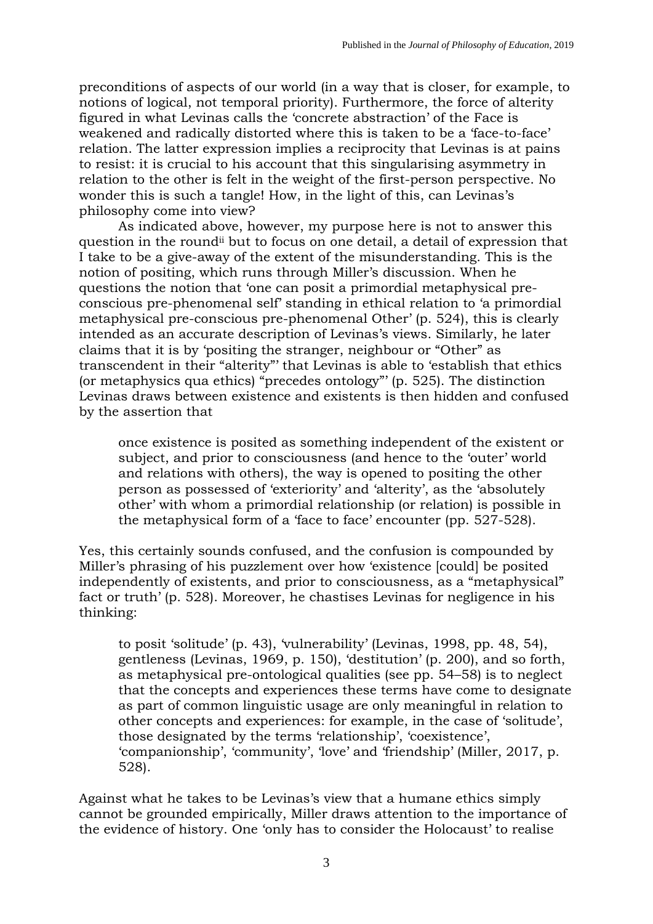preconditions of aspects of our world (in a way that is closer, for example, to notions of logical, not temporal priority). Furthermore, the force of alterity figured in what Levinas calls the 'concrete abstraction' of the Face is weakened and radically distorted where this is taken to be a 'face-to-face' relation. The latter expression implies a reciprocity that Levinas is at pains to resist: it is crucial to his account that this singularising asymmetry in relation to the other is felt in the weight of the first-person perspective. No wonder this is such a tangle! How, in the light of this, can Levinas's philosophy come into view?

As indicated above, however, my purpose here is not to answer this question in the roundii but to focus on one detail, a detail of expression that I take to be a give-away of the extent of the misunderstanding. This is the notion of positing, which runs through Miller's discussion. When he questions the notion that 'one can posit a primordial metaphysical preconscious pre-phenomenal self' standing in ethical relation to 'a primordial metaphysical pre-conscious pre-phenomenal Other' (p. 524), this is clearly intended as an accurate description of Levinas's views. Similarly, he later claims that it is by 'positing the stranger, neighbour or "Other" as transcendent in their "alterity"' that Levinas is able to 'establish that ethics (or metaphysics qua ethics) "precedes ontology"' (p. 525). The distinction Levinas draws between existence and existents is then hidden and confused by the assertion that

once existence is posited as something independent of the existent or subject, and prior to consciousness (and hence to the 'outer' world and relations with others), the way is opened to positing the other person as possessed of 'exteriority' and 'alterity', as the 'absolutely other' with whom a primordial relationship (or relation) is possible in the metaphysical form of a 'face to face' encounter (pp. 527-528).

Yes, this certainly sounds confused, and the confusion is compounded by Miller's phrasing of his puzzlement over how 'existence [could] be posited independently of existents, and prior to consciousness, as a "metaphysical" fact or truth' (p. 528). Moreover, he chastises Levinas for negligence in his thinking:

to posit 'solitude' (p. 43), 'vulnerability' (Levinas, 1998, pp. 48, 54), gentleness (Levinas, 1969, p. 150), 'destitution' (p. 200), and so forth, as metaphysical pre-ontological qualities (see pp. 54–58) is to neglect that the concepts and experiences these terms have come to designate as part of common linguistic usage are only meaningful in relation to other concepts and experiences: for example, in the case of 'solitude', those designated by the terms 'relationship', 'coexistence', 'companionship', 'community', 'love' and 'friendship' (Miller, 2017, p. 528).

Against what he takes to be Levinas's view that a humane ethics simply cannot be grounded empirically, Miller draws attention to the importance of the evidence of history. One 'only has to consider the Holocaust' to realise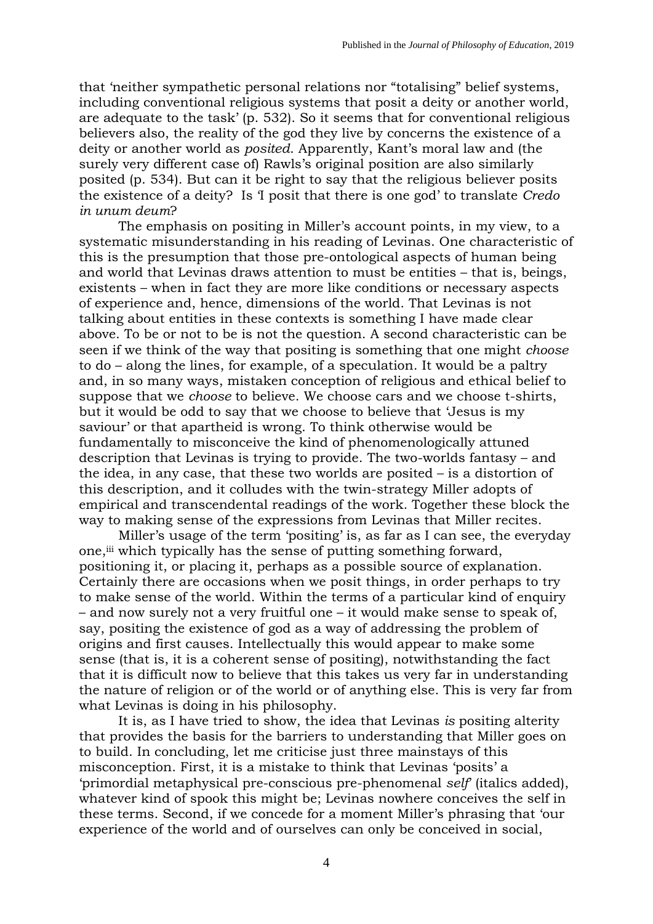that 'neither sympathetic personal relations nor "totalising" belief systems, including conventional religious systems that posit a deity or another world, are adequate to the task' (p. 532). So it seems that for conventional religious believers also, the reality of the god they live by concerns the existence of a deity or another world as *posited*. Apparently, Kant's moral law and (the surely very different case of) Rawls's original position are also similarly posited (p. 534). But can it be right to say that the religious believer posits the existence of a deity? Is 'I posit that there is one god' to translate *Credo in unum deum*?

The emphasis on positing in Miller's account points, in my view, to a systematic misunderstanding in his reading of Levinas. One characteristic of this is the presumption that those pre-ontological aspects of human being and world that Levinas draws attention to must be entities – that is, beings, existents – when in fact they are more like conditions or necessary aspects of experience and, hence, dimensions of the world. That Levinas is not talking about entities in these contexts is something I have made clear above. To be or not to be is not the question. A second characteristic can be seen if we think of the way that positing is something that one might *choose* to do – along the lines, for example, of a speculation. It would be a paltry and, in so many ways, mistaken conception of religious and ethical belief to suppose that we *choose* to believe. We choose cars and we choose t-shirts, but it would be odd to say that we choose to believe that 'Jesus is my saviour' or that apartheid is wrong. To think otherwise would be fundamentally to misconceive the kind of phenomenologically attuned description that Levinas is trying to provide. The two-worlds fantasy – and the idea, in any case, that these two worlds are posited – is a distortion of this description, and it colludes with the twin-strategy Miller adopts of empirical and transcendental readings of the work. Together these block the way to making sense of the expressions from Levinas that Miller recites.

Miller's usage of the term 'positing' is, as far as I can see, the everyday one,<sup>iii</sup> which typically has the sense of putting something forward, positioning it, or placing it, perhaps as a possible source of explanation. Certainly there are occasions when we posit things, in order perhaps to try to make sense of the world. Within the terms of a particular kind of enquiry – and now surely not a very fruitful one – it would make sense to speak of, say, positing the existence of god as a way of addressing the problem of origins and first causes. Intellectually this would appear to make some sense (that is, it is a coherent sense of positing), notwithstanding the fact that it is difficult now to believe that this takes us very far in understanding the nature of religion or of the world or of anything else. This is very far from what Levinas is doing in his philosophy.

It is, as I have tried to show, the idea that Levinas *is* positing alterity that provides the basis for the barriers to understanding that Miller goes on to build. In concluding, let me criticise just three mainstays of this misconception. First, it is a mistake to think that Levinas 'posits' a 'primordial metaphysical pre-conscious pre-phenomenal *self*' (italics added), whatever kind of spook this might be; Levinas nowhere conceives the self in these terms. Second, if we concede for a moment Miller's phrasing that 'our experience of the world and of ourselves can only be conceived in social,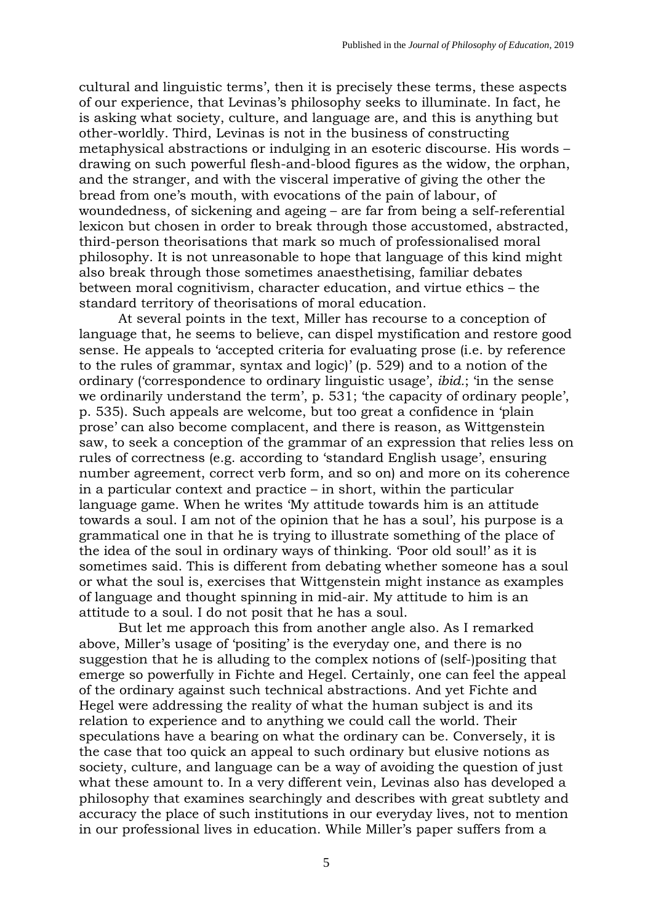cultural and linguistic terms', then it is precisely these terms, these aspects of our experience, that Levinas's philosophy seeks to illuminate. In fact, he is asking what society, culture, and language are, and this is anything but other-worldly. Third, Levinas is not in the business of constructing metaphysical abstractions or indulging in an esoteric discourse. His words – drawing on such powerful flesh-and-blood figures as the widow, the orphan, and the stranger, and with the visceral imperative of giving the other the bread from one's mouth, with evocations of the pain of labour, of woundedness, of sickening and ageing – are far from being a self-referential lexicon but chosen in order to break through those accustomed, abstracted, third-person theorisations that mark so much of professionalised moral philosophy. It is not unreasonable to hope that language of this kind might also break through those sometimes anaesthetising, familiar debates between moral cognitivism, character education, and virtue ethics – the standard territory of theorisations of moral education.

At several points in the text, Miller has recourse to a conception of language that, he seems to believe, can dispel mystification and restore good sense. He appeals to 'accepted criteria for evaluating prose (i.e. by reference to the rules of grammar, syntax and logic)' (p. 529) and to a notion of the ordinary ('correspondence to ordinary linguistic usage', *ibid.*; 'in the sense we ordinarily understand the term', p. 531; 'the capacity of ordinary people', p. 535). Such appeals are welcome, but too great a confidence in 'plain prose' can also become complacent, and there is reason, as Wittgenstein saw, to seek a conception of the grammar of an expression that relies less on rules of correctness (e.g. according to 'standard English usage', ensuring number agreement, correct verb form, and so on) and more on its coherence in a particular context and practice – in short, within the particular language game. When he writes 'My attitude towards him is an attitude towards a soul. I am not of the opinion that he has a soul', his purpose is a grammatical one in that he is trying to illustrate something of the place of the idea of the soul in ordinary ways of thinking. 'Poor old soul!' as it is sometimes said. This is different from debating whether someone has a soul or what the soul is, exercises that Wittgenstein might instance as examples of language and thought spinning in mid-air. My attitude to him is an attitude to a soul. I do not posit that he has a soul.

But let me approach this from another angle also. As I remarked above, Miller's usage of 'positing' is the everyday one, and there is no suggestion that he is alluding to the complex notions of (self-)positing that emerge so powerfully in Fichte and Hegel. Certainly, one can feel the appeal of the ordinary against such technical abstractions. And yet Fichte and Hegel were addressing the reality of what the human subject is and its relation to experience and to anything we could call the world. Their speculations have a bearing on what the ordinary can be. Conversely, it is the case that too quick an appeal to such ordinary but elusive notions as society, culture, and language can be a way of avoiding the question of just what these amount to. In a very different vein, Levinas also has developed a philosophy that examines searchingly and describes with great subtlety and accuracy the place of such institutions in our everyday lives, not to mention in our professional lives in education. While Miller's paper suffers from a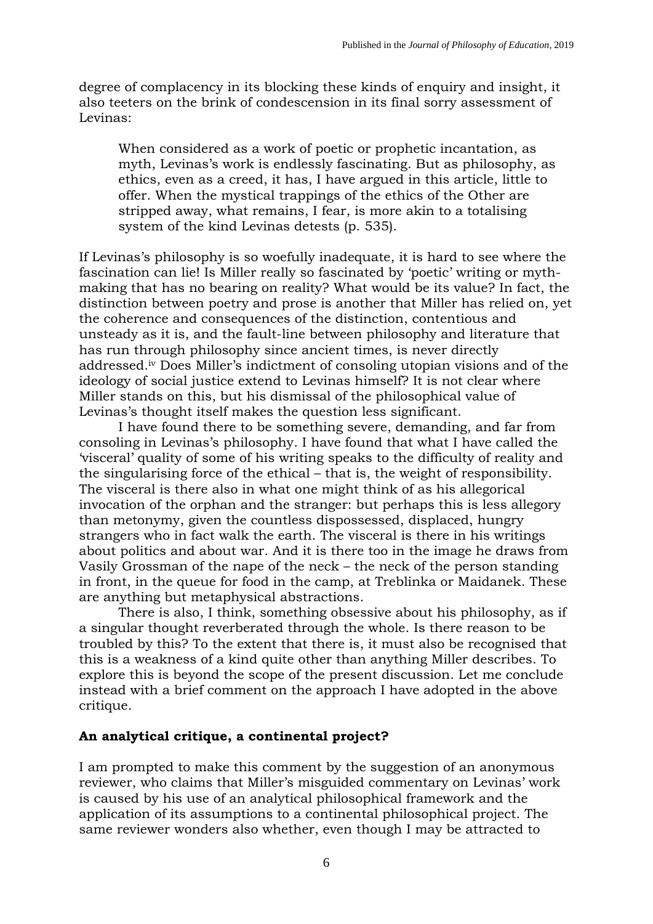degree of complacency in its blocking these kinds of enquiry and insight, it also teeters on the brink of condescension in its final sorry assessment of Levinas:

When considered as a work of poetic or prophetic incantation, as myth, Levinas's work is endlessly fascinating. But as philosophy, as ethics, even as a creed, it has, I have argued in this article, little to offer. When the mystical trappings of the ethics of the Other are stripped away, what remains, I fear, is more akin to a totalising system of the kind Levinas detests (p. 535).

If Levinas's philosophy is so woefully inadequate, it is hard to see where the fascination can lie! Is Miller really so fascinated by 'poetic' writing or mythmaking that has no bearing on reality? What would be its value? In fact, the distinction between poetry and prose is another that Miller has relied on, yet the coherence and consequences of the distinction, contentious and unsteady as it is, and the fault-line between philosophy and literature that has run through philosophy since ancient times, is never directly addressed.iv Does Miller's indictment of consoling utopian visions and of the ideology of social justice extend to Levinas himself? It is not clear where Miller stands on this, but his dismissal of the philosophical value of Levinas's thought itself makes the question less significant.

I have found there to be something severe, demanding, and far from consoling in Levinas's philosophy. I have found that what I have called the 'visceral' quality of some of his writing speaks to the difficulty of reality and the singularising force of the ethical – that is, the weight of responsibility. The visceral is there also in what one might think of as his allegorical invocation of the orphan and the stranger: but perhaps this is less allegory than metonymy, given the countless dispossessed, displaced, hungry strangers who in fact walk the earth. The visceral is there in his writings about politics and about war. And it is there too in the image he draws from Vasily Grossman of the nape of the neck – the neck of the person standing in front, in the queue for food in the camp, at Treblinka or Maidanek. These are anything but metaphysical abstractions.

There is also, I think, something obsessive about his philosophy, as if a singular thought reverberated through the whole. Is there reason to be troubled by this? To the extent that there is, it must also be recognised that this is a weakness of a kind quite other than anything Miller describes. To explore this is beyond the scope of the present discussion. Let me conclude instead with a brief comment on the approach I have adopted in the above critique.

## **An analytical critique, a continental project?**

I am prompted to make this comment by the suggestion of an anonymous reviewer, who claims that Miller's misguided commentary on Levinas' work is caused by his use of an analytical philosophical framework and the application of its assumptions to a continental philosophical project. The same reviewer wonders also whether, even though I may be attracted to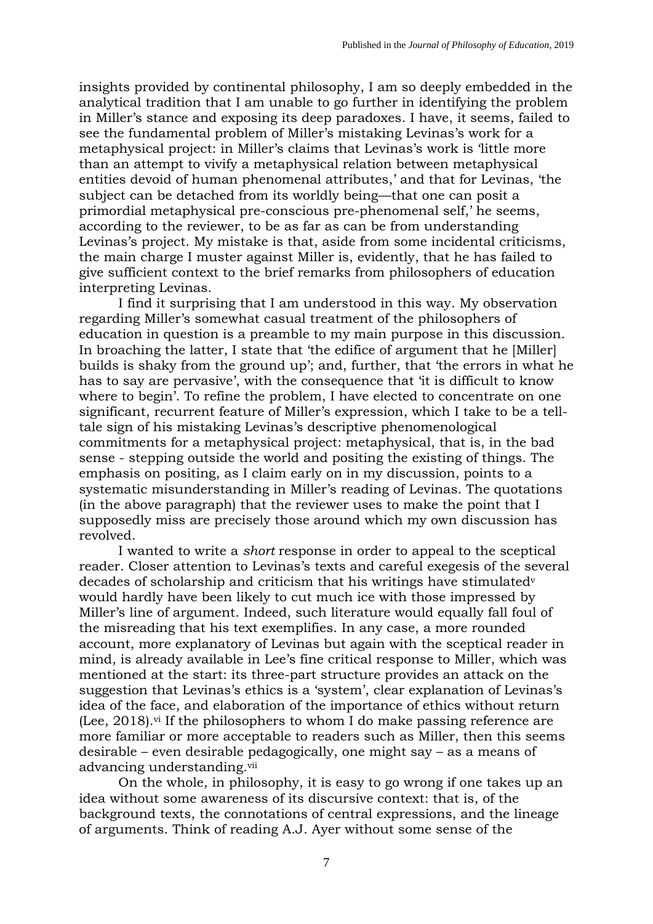insights provided by continental philosophy, I am so deeply embedded in the analytical tradition that I am unable to go further in identifying the problem in Miller's stance and exposing its deep paradoxes. I have, it seems, failed to see the fundamental problem of Miller's mistaking Levinas's work for a metaphysical project: in Miller's claims that Levinas's work is 'little more than an attempt to vivify a metaphysical relation between metaphysical entities devoid of human phenomenal attributes,' and that for Levinas, 'the subject can be detached from its worldly being—that one can posit a primordial metaphysical pre-conscious pre-phenomenal self,' he seems, according to the reviewer, to be as far as can be from understanding Levinas's project. My mistake is that, aside from some incidental criticisms, the main charge I muster against Miller is, evidently, that he has failed to give sufficient context to the brief remarks from philosophers of education interpreting Levinas.

I find it surprising that I am understood in this way. My observation regarding Miller's somewhat casual treatment of the philosophers of education in question is a preamble to my main purpose in this discussion. In broaching the latter, I state that 'the edifice of argument that he [Miller] builds is shaky from the ground up'; and, further, that 'the errors in what he has to say are pervasive', with the consequence that 'it is difficult to know where to begin'. To refine the problem, I have elected to concentrate on one significant, recurrent feature of Miller's expression, which I take to be a telltale sign of his mistaking Levinas's descriptive phenomenological commitments for a metaphysical project: metaphysical, that is, in the bad sense - stepping outside the world and positing the existing of things. The emphasis on positing, as I claim early on in my discussion, points to a systematic misunderstanding in Miller's reading of Levinas. The quotations (in the above paragraph) that the reviewer uses to make the point that I supposedly miss are precisely those around which my own discussion has revolved.

I wanted to write a *short* response in order to appeal to the sceptical reader. Closer attention to Levinas's texts and careful exegesis of the several decades of scholarship and criticism that his writings have stimulated<sup>v</sup> would hardly have been likely to cut much ice with those impressed by Miller's line of argument. Indeed, such literature would equally fall foul of the misreading that his text exemplifies. In any case, a more rounded account, more explanatory of Levinas but again with the sceptical reader in mind, is already available in Lee's fine critical response to Miller, which was mentioned at the start: its three-part structure provides an attack on the suggestion that Levinas's ethics is a 'system', clear explanation of Levinas's idea of the face, and elaboration of the importance of ethics without return (Lee, 2018). vi If the philosophers to whom I do make passing reference are more familiar or more acceptable to readers such as Miller, then this seems desirable – even desirable pedagogically, one might say – as a means of advancing understanding.<sup>vii</sup>

On the whole, in philosophy, it is easy to go wrong if one takes up an idea without some awareness of its discursive context: that is, of the background texts, the connotations of central expressions, and the lineage of arguments. Think of reading A.J. Ayer without some sense of the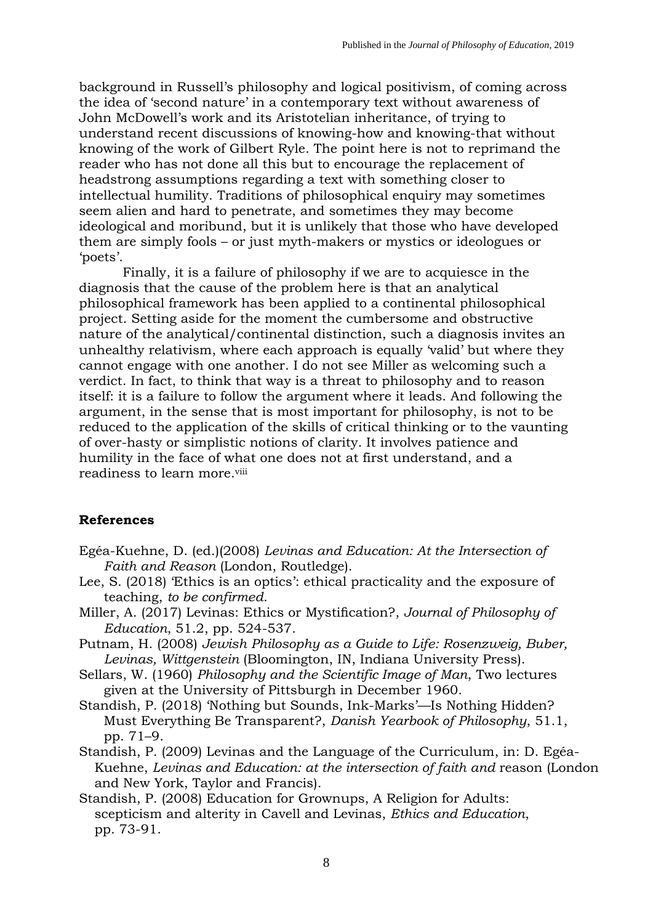background in Russell's philosophy and logical positivism, of coming across the idea of 'second nature' in a contemporary text without awareness of John McDowell's work and its Aristotelian inheritance, of trying to understand recent discussions of knowing-how and knowing-that without knowing of the work of Gilbert Ryle. The point here is not to reprimand the reader who has not done all this but to encourage the replacement of headstrong assumptions regarding a text with something closer to intellectual humility. Traditions of philosophical enquiry may sometimes seem alien and hard to penetrate, and sometimes they may become ideological and moribund, but it is unlikely that those who have developed them are simply fools – or just myth-makers or mystics or ideologues or 'poets'.

Finally, it is a failure of philosophy if we are to acquiesce in the diagnosis that the cause of the problem here is that an analytical philosophical framework has been applied to a continental philosophical project. Setting aside for the moment the cumbersome and obstructive nature of the analytical/continental distinction, such a diagnosis invites an unhealthy relativism, where each approach is equally 'valid' but where they cannot engage with one another. I do not see Miller as welcoming such a verdict. In fact, to think that way is a threat to philosophy and to reason itself: it is a failure to follow the argument where it leads. And following the argument, in the sense that is most important for philosophy, is not to be reduced to the application of the skills of critical thinking or to the vaunting of over-hasty or simplistic notions of clarity. It involves patience and humility in the face of what one does not at first understand, and a readiness to learn more. viii

## **References**

- Egéa-Kuehne, D. (ed.)(2008) *Levinas and Education: At the Intersection of Faith and Reason* (London, Routledge).
- Lee, S. (2018) 'Ethics is an optics': ethical practicality and the exposure of teaching, *to be confirmed*.
- Miller, A. (2017) Levinas: Ethics or Mystification?, *Journal of Philosophy of Education*, 51.2, pp. 524-537.
- Putnam, H. (2008) *Jewish Philosophy as a Guide to Life: Rosenzweig, Buber, Levinas, Wittgenstein* (Bloomington, IN, Indiana University Press).
- Sellars, W. (1960) *Philosophy and the Scientific Image of Man*, Two lectures given at the University of Pittsburgh in December 1960.
- Standish, P. (2018) ['Nothing but Sounds, Ink](https://brill.com/abstract/journals/dyp/51/1/article-p71_71.xml)-Marks'—Is Nothing Hidden? [Must Everything Be Transparent?,](https://brill.com/abstract/journals/dyp/51/1/article-p71_71.xml) *Danish Yearbook of Philosophy*, 51.1, pp. 71–9.
- Standish, P. (2009) Levinas and the Language of the Curriculum, in: D. Egéa-Kuehne, *Levinas and Education: at the intersection of faith and reason (London* and New York, Taylor and Francis).
- Standish, P. (2008) Education for Grownups, A Religion for Adults: scepticism and alterity in Cavell and Levinas, *Ethics and Education*, pp. 73-91.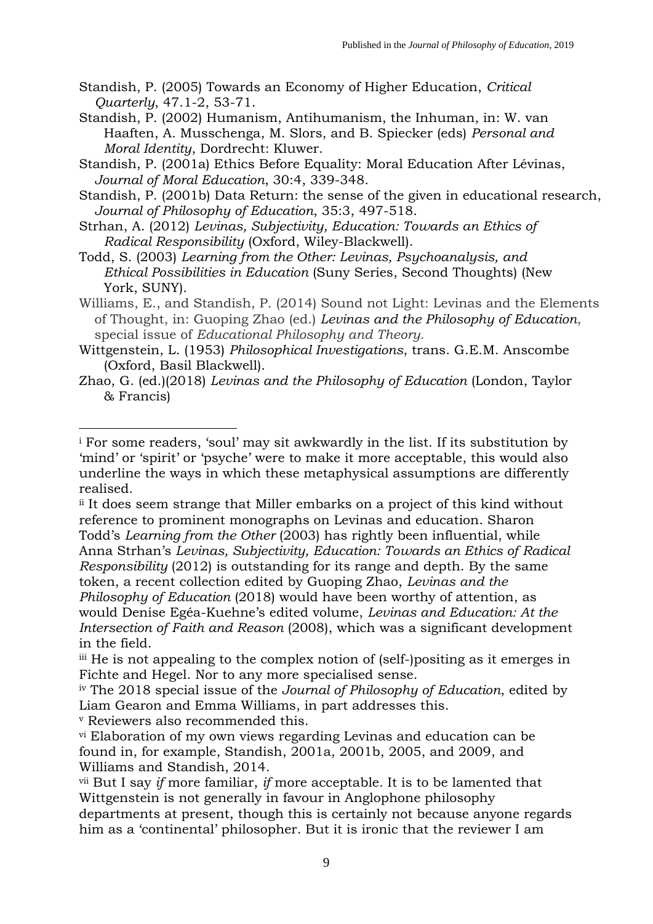- Standish, P. (2005) Towards an Economy of Higher Education, *Critical Quarterly*, 47.1-2, 53-71.
- Standish, P. (2002) Humanism, Antihumanism, the Inhuman, in: W. van Haaften, A. Musschenga, M. Slors, and B. Spiecker (eds) *Personal and Moral Identity*, Dordrecht: Kluwer.
- Standish, P. (2001a) Ethics Before Equality: Moral Education After Lévinas, *Journal of Moral Education*, 30:4, 339-348.
- Standish, P. (2001b) Data Return: the sense of the given in educational research, *Journal of Philosophy of Education*, 35:3, 497-518.
- Strhan, A. (2012) *Levinas, Subjectivity, Education: Towards an Ethics of Radical Responsibility* (Oxford, Wiley-Blackwell).
- Todd, S. (2003) *Learning from the Other: Levinas, Psychoanalysis, and Ethical Possibilities in Education* (Suny Series, Second Thoughts) (New York, SUNY).
- Williams, E., and Standish, P. (2014) Sound not Light: Levinas and the Elements of Thought, in: Guoping Zhao (ed.) *Levinas and the Philosophy of Education*, special issue of *Educational Philosophy and Theory*.
- Wittgenstein, L. (1953) *Philosophical Investigations*, trans. G.E.M. Anscombe (Oxford, Basil Blackwell).
- Zhao, G. (ed.)(2018) *Levinas and the Philosophy of Education* (London, Taylor & Francis)

ii It does seem strange that Miller embarks on a project of this kind without reference to prominent monographs on Levinas and education. Sharon Todd's *Learning from the Other* (2003) has rightly been influential, while Anna Strhan's *Levinas, Subjectivity, Education: Towards an Ethics of Radical* 

*Responsibility* (2012) is outstanding for its range and depth. By the same token, a recent collection edited by Guoping Zhao, *Levinas and the Philosophy of Education* (2018) would have been worthy of attention, as would Denise Egéa-Kuehne's edited volume, *Levinas and Education: At the Intersection of Faith and Reason* (2008), which was a significant development in the field.

<sup>v</sup> Reviewers also recommended this.

1

<sup>i</sup> For some readers, 'soul' may sit awkwardly in the list. If its substitution by 'mind' or 'spirit' or 'psyche' were to make it more acceptable, this would also underline the ways in which these metaphysical assumptions are differently realised.

iii He is not appealing to the complex notion of (self-)positing as it emerges in Fichte and Hegel. Nor to any more specialised sense.

iv The 2018 special issue of the *Journal of Philosophy of Education*, edited by Liam Gearon and Emma Williams, in part addresses this.

vi Elaboration of my own views regarding Levinas and education can be found in, for example, Standish, 2001a, 2001b, 2005, and 2009, and Williams and Standish, 2014.

vii But I say *if* more familiar, *if* more acceptable. It is to be lamented that Wittgenstein is not generally in favour in Anglophone philosophy departments at present, though this is certainly not because anyone regards him as a 'continental' philosopher. But it is ironic that the reviewer I am